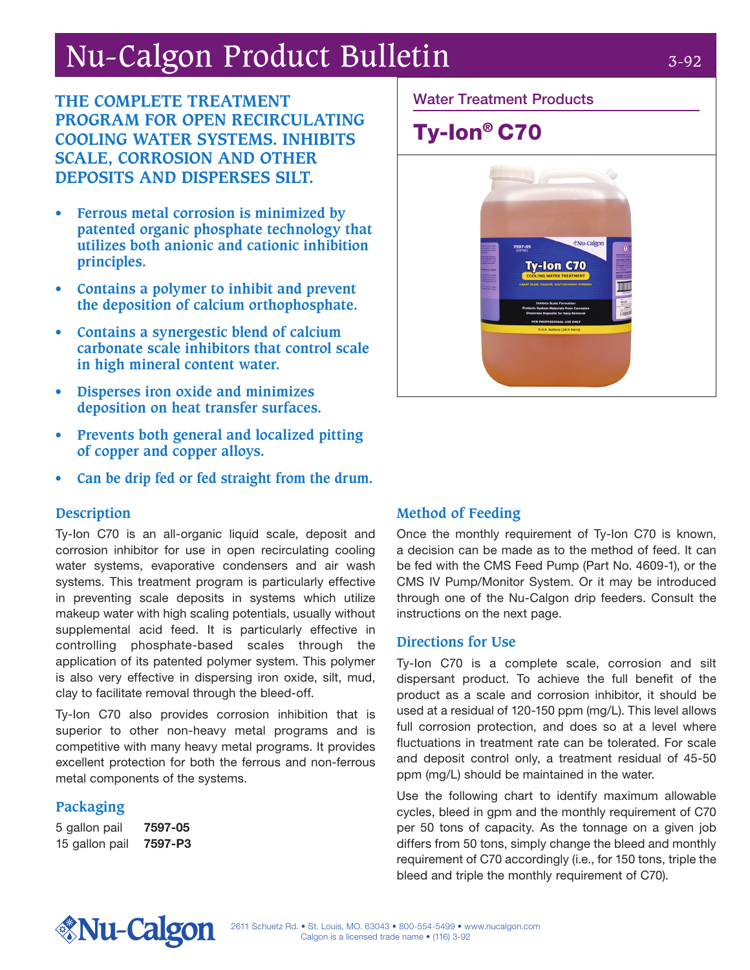# Nu-Calgon Product Bulletin 3-92

**THE COMPLETE TREATMENT PROGRAM FOR OPEN RECIRCULATING COOLING WATER SYSTEMS. INHIBITS SCALE, CORROSION AND OTHER DEPOSITS AND DISPERSES SILT.**

- **• Ferrous metal corrosion is minimized by patented organic phosphate technology that utilizes both anionic and cationic inhibition principles.**
- **• Contains a polymer to inhibit and prevent the deposition of calcium orthophosphate.**
- **• Contains a synergestic blend of calcium carbonate scale inhibitors that control scale in high mineral content water.**
- **• Disperses iron oxide and minimizes deposition on heat transfer surfaces.**
- **• Prevents both general and localized pitting of copper and copper alloys.**
- **• Can be drip fed or fed straight from the drum.**

### **Description**

Ty-Ion C70 is an all-organic liquid scale, deposit and corrosion inhibitor for use in open recirculating cooling water systems, evaporative condensers and air wash systems. This treatment program is particularly effective in preventing scale deposits in systems which utilize makeup water with high scaling potentials, usually without supplemental acid feed. It is particularly effective in controlling phosphate-based scales through the application of its patented polymer system. This polymer is also very effective in dispersing iron oxide, silt, mud, clay to facilitate removal through the bleed-off.

Ty-Ion C70 also provides corrosion inhibition that is superior to other non-heavy metal programs and is competitive with many heavy metal programs. It provides excellent protection for both the ferrous and non-ferrous metal components of the systems.

### **Packaging**

5 gallon pail 7597-05 15 gallon pail 7597-P3

### Water Treatment Products

## Ty-Ion® C70



### **Method of Feeding**

Once the monthly requirement of Ty-Ion C70 is known, a decision can be made as to the method of feed. It can be fed with the CMS Feed Pump (Part No. 4609-1), or the CMS IV Pump/Monitor System. Or it may be introduced through one of the Nu-Calgon drip feeders. Consult the instructions on the next page.

#### **Directions for Use**

Ty-Ion C70 is a complete scale, corrosion and silt dispersant product. To achieve the full benefit of the product as a scale and corrosion inhibitor, it should be used at a residual of 120-150 ppm (mg/L). This level allows full corrosion protection, and does so at a level where fluctuations in treatment rate can be tolerated. For scale and deposit control only, a treatment residual of 45-50 ppm (mg/L) should be maintained in the water.

Use the following chart to identify maximum allowable cycles, bleed in gpm and the monthly requirement of C70 per 50 tons of capacity. As the tonnage on a given job differs from 50 tons, simply change the bleed and monthly requirement of C70 accordingly (i.e., for 150 tons, triple the bleed and triple the monthly requirement of C70).